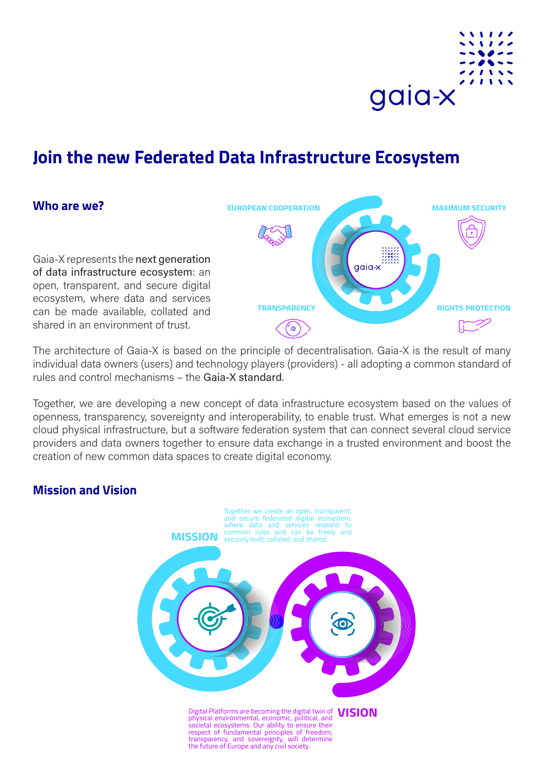

# **Join the new Federated Data Infrastructure Ecosystem**

#### **Who are we?**

Gaia-X represents the next generation of data infrastructure ecosystem: an open, transparent, and secure digital ecosystem, where data and services can be made available, collated and shared in an environment of trust.



The architecture of Gaia-X is based on the principle of decentralisation. Gaia-X is the result of many individual data owners (users) and technology players (providers) - all adopting a common standard of rules and control mechanisms – the Gaia-X standard.

Together, we are developing a new concept of data infrastructure ecosystem based on the values of openness, transparency, sovereignty and interoperability, to enable trust. What emerges is not a new cloud physical infrastructure, but a software federation system that can connect several cloud service providers and data owners together to ensure data exchange in a trusted environment and boost the creation of new common data spaces to create digital economy.

#### **Mission and Vision**

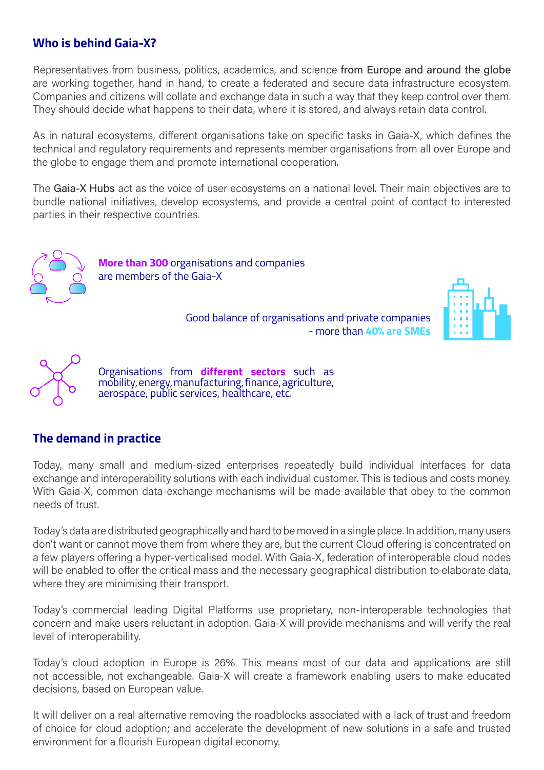## **Who is behind Gaia-X?**

Representatives from business, politics, academics, and science from Europe and around the globe are working together, hand in hand, to create a federated and secure data infrastructure ecosystem. Companies and citizens will collate and exchange data in such a way that they keep control over them. They should decide what happens to their data, where it is stored, and always retain data control.

As in natural ecosystems, different organisations take on specific tasks in Gaia-X, which defines the technical and regulatory requirements and represents member organisations from all over Europe and the globe to engage them and promote international cooperation.

The Gaia-X Hubs act as the voice of user ecosystems on a national level. Their main objectives are to bundle national initiatives, develop ecosystems, and provide a central point of contact to interested parties in their respective countries.



**More than 300** organisations and companies are members of the Gaia-X

> Good balance of organisations and private companies - more than **40% are SMEs**





Organisations from **different sectors** such as mobility, energy, manufacturing, finance, agriculture, aerospace, public services, healthcare, etc.

#### **The demand in practice**

Today, many small and medium-sized enterprises repeatedly build individual interfaces for data exchange and interoperability solutions with each individual customer. This is tedious and costs money. With Gaia-X, common data-exchange mechanisms will be made available that obey to the common needs of trust.

Today's data are distributed geographically and hard to be moved in a single place. In addition, many users don't want or cannot move them from where they are, but the current Cloud offering is concentrated on a few players offering a hyper-verticalised model. With Gaia-X, federation of interoperable cloud nodes will be enabled to offer the critical mass and the necessary geographical distribution to elaborate data, where they are minimising their transport.

Today's commercial leading Digital Platforms use proprietary, non-interoperable technologies that concern and make users reluctant in adoption. Gaia-X will provide mechanisms and will verify the real level of interoperability.

Today's cloud adoption in Europe is 26%. This means most of our data and applications are still not accessible, not exchangeable. Gaia-X will create a framework enabling users to make educated decisions, based on European value.

It will deliver on a real alternative removing the roadblocks associated with a lack of trust and freedom of choice for cloud adoption; and accelerate the development of new solutions in a safe and trusted environment for a flourish European digital economy.